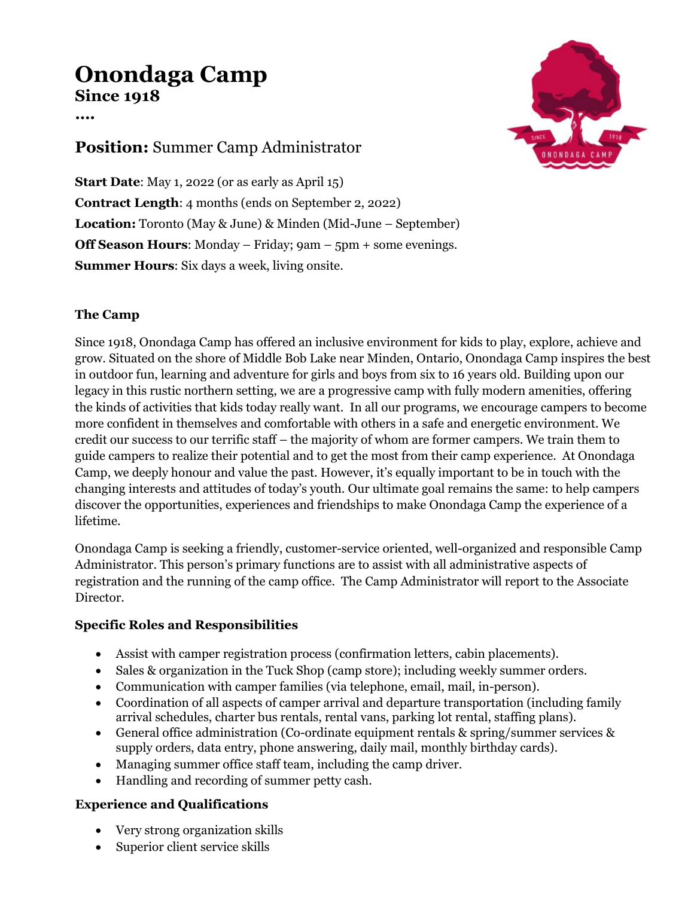# **Onondaga Camp Since 1918**

**….**

## **Position:** Summer Camp Administrator

**Start Date:** May 1, 2022 (or as early as April 15) **Contract Length**: 4 months (ends on September 2, 2022) **Location:** Toronto (May & June) & Minden (Mid-June – September) **Off Season Hours:** Monday – Friday; 9am – 5pm + some evenings. **Summer Hours**: Six days a week, living onsite.

### **The Camp**

Since 1918, Onondaga Camp has offered an inclusive environment for kids to play, explore, achieve and grow. Situated on the shore of Middle Bob Lake near Minden, Ontario, Onondaga Camp inspires the best in outdoor fun, learning and adventure for girls and boys from six to 16 years old. Building upon our legacy in this rustic northern setting, we are a progressive camp with fully modern amenities, offering the kinds of activities that kids today really want. In all our programs, we encourage campers to become more confident in themselves and comfortable with others in a safe and energetic environment. We credit our success to our terrific staff – the majority of whom are former campers. We train them to guide campers to realize their potential and to get the most from their camp experience. At Onondaga Camp, we deeply honour and value the past. However, it's equally important to be in touch with the changing interests and attitudes of today's youth. Our ultimate goal remains the same: to help campers discover the opportunities, experiences and friendships to make Onondaga Camp the experience of a lifetime.

Onondaga Camp is seeking a friendly, customer-service oriented, well-organized and responsible Camp Administrator. This person's primary functions are to assist with all administrative aspects of registration and the running of the camp office. The Camp Administrator will report to the Associate Director.

#### **Specific Roles and Responsibilities**

- Assist with camper registration process (confirmation letters, cabin placements).
- Sales & organization in the Tuck Shop (camp store); including weekly summer orders.
- Communication with camper families (via telephone, email, mail, in-person).
- Coordination of all aspects of camper arrival and departure transportation (including family arrival schedules, charter bus rentals, rental vans, parking lot rental, staffing plans).
- General office administration (Co-ordinate equipment rentals & spring/summer services & supply orders, data entry, phone answering, daily mail, monthly birthday cards).
- Managing summer office staff team, including the camp driver.
- Handling and recording of summer petty cash.

#### **Experience and Qualifications**

- Very strong organization skills
- Superior client service skills